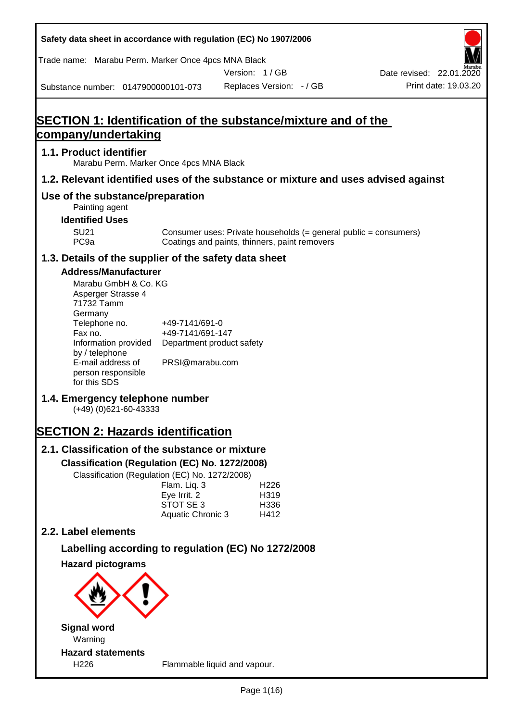**Safety data sheet in accordance with regulation (EC) No 1907/2006** Substance number: 0147900000101-073 Version: 1 / GB Replaces Version: - / GB Print date: 19.03.20 Date revised: 22.01.2020 Trade name: Marabu Perm. Marker Once 4pcs MNA Black **SECTION 1: Identification of the substance/mixture and of the company/undertaking 1.1. Product identifier** Marabu Perm. Marker Once 4pcs MNA Black **1.2. Relevant identified uses of the substance or mixture and uses advised against Use of the substance/preparation** Painting agent **Identified Uses** SU21 Consumer uses: Private households (= general public = consumers)<br>PC9a Coatings and paints, thinners, paint removers Coatings and paints, thinners, paint removers **1.3. Details of the supplier of the safety data sheet Address/Manufacturer** Marabu GmbH & Co. KG Asperger Strasse 4 71732 Tamm **Germany** Telephone no. +49-7141/691-0 Fax no.  $+49-7141/691-147$ Information provided Department product safety by / telephone E-mail address of person responsible for this SDS PRSI@marabu.com **1.4. Emergency telephone number** (+49) (0)621-60-43333 **SECTION 2: Hazards identification 2.1. Classification of the substance or mixture Classification (Regulation (EC) No. 1272/2008)** Classification (Regulation (EC) No. 1272/2008) Flam. Liq. 3 H226 Eve Irrit. 2 H319 STOT SE 3 H336 Aquatic Chronic 3 H412 **2.2. Label elements Labelling according to regulation (EC) No 1272/2008 Hazard pictograms Signal word** Warning **Hazard statements** H226 Flammable liquid and vapour.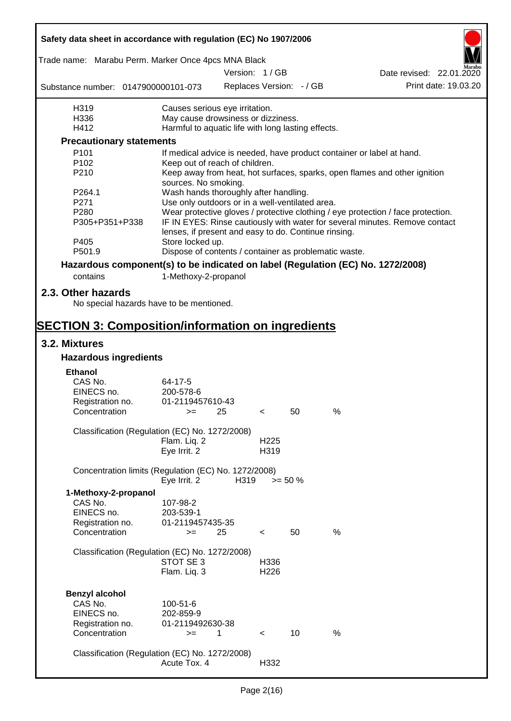| Safety data sheet in accordance with regulation (EC) No 1907/2006 |                                                       |      |                          |                          |                                                                                  |  |
|-------------------------------------------------------------------|-------------------------------------------------------|------|--------------------------|--------------------------|----------------------------------------------------------------------------------|--|
| Trade name: Marabu Perm. Marker Once 4pcs MNA Black               |                                                       |      |                          |                          |                                                                                  |  |
|                                                                   |                                                       |      | Version: 1/GB            |                          | Date revised: 22.01.2020                                                         |  |
| Substance number: 0147900000101-073                               |                                                       |      |                          | Replaces Version: - / GB | Print date: 19.03.20                                                             |  |
| H319                                                              | Causes serious eye irritation.                        |      |                          |                          |                                                                                  |  |
| H336                                                              | May cause drowsiness or dizziness.                    |      |                          |                          |                                                                                  |  |
| H412                                                              | Harmful to aquatic life with long lasting effects.    |      |                          |                          |                                                                                  |  |
| <b>Precautionary statements</b>                                   |                                                       |      |                          |                          |                                                                                  |  |
| P <sub>101</sub>                                                  |                                                       |      |                          |                          | If medical advice is needed, have product container or label at hand.            |  |
| P <sub>102</sub>                                                  | Keep out of reach of children.                        |      |                          |                          |                                                                                  |  |
| P210                                                              | sources. No smoking.                                  |      |                          |                          | Keep away from heat, hot surfaces, sparks, open flames and other ignition        |  |
| P264.1                                                            | Wash hands thoroughly after handling.                 |      |                          |                          |                                                                                  |  |
| P271                                                              | Use only outdoors or in a well-ventilated area.       |      |                          |                          |                                                                                  |  |
| P280                                                              |                                                       |      |                          |                          | Wear protective gloves / protective clothing / eye protection / face protection. |  |
| P305+P351+P338                                                    | lenses, if present and easy to do. Continue rinsing.  |      |                          |                          | IF IN EYES: Rinse cautiously with water for several minutes. Remove contact      |  |
| P405                                                              | Store locked up.                                      |      |                          |                          |                                                                                  |  |
| P501.9                                                            | Dispose of contents / container as problematic waste. |      |                          |                          |                                                                                  |  |
|                                                                   |                                                       |      |                          |                          | Hazardous component(s) to be indicated on label (Regulation (EC) No. 1272/2008)  |  |
| contains                                                          | 1-Methoxy-2-propanol                                  |      |                          |                          |                                                                                  |  |
|                                                                   |                                                       |      |                          |                          |                                                                                  |  |
| 2.3. Other hazards<br>No special hazards have to be mentioned.    |                                                       |      |                          |                          |                                                                                  |  |
| <b>SECTION 3: Composition/information on ingredients</b>          |                                                       |      |                          |                          |                                                                                  |  |
| 3.2. Mixtures                                                     |                                                       |      |                          |                          |                                                                                  |  |
| <b>Hazardous ingredients</b>                                      |                                                       |      |                          |                          |                                                                                  |  |
| <b>Ethanol</b>                                                    |                                                       |      |                          |                          |                                                                                  |  |
| CAS No.                                                           |                                                       |      |                          |                          |                                                                                  |  |
| EINECS no.                                                        | 64-17-5<br>200-578-6                                  |      |                          |                          |                                                                                  |  |
|                                                                   | 01-2119457610-43                                      |      |                          |                          |                                                                                  |  |
| Registration no.<br>Concentration                                 | $>=$ 25                                               |      | $\epsilon$               | 50                       | $\%$                                                                             |  |
|                                                                   |                                                       |      |                          |                          |                                                                                  |  |
| Classification (Regulation (EC) No. 1272/2008)                    |                                                       |      |                          |                          |                                                                                  |  |
|                                                                   | Flam. Liq. 2                                          |      | H <sub>225</sub>         |                          |                                                                                  |  |
|                                                                   | Eye Irrit. 2                                          |      | H319                     |                          |                                                                                  |  |
| Concentration limits (Regulation (EC) No. 1272/2008)              |                                                       | H319 |                          |                          |                                                                                  |  |
|                                                                   | Eye Irrit. 2                                          |      | $>= 50 \%$               |                          |                                                                                  |  |
| 1-Methoxy-2-propanol                                              |                                                       |      |                          |                          |                                                                                  |  |
| CAS No.                                                           | 107-98-2                                              |      |                          |                          |                                                                                  |  |
| EINECS no.                                                        | 203-539-1                                             |      |                          |                          |                                                                                  |  |
| Registration no.                                                  | 01-2119457435-35                                      |      |                          |                          |                                                                                  |  |
| Concentration                                                     | $=$                                                   | 25   | $\overline{\phantom{0}}$ | 50                       | %                                                                                |  |
|                                                                   |                                                       |      |                          |                          |                                                                                  |  |
| Classification (Regulation (EC) No. 1272/2008)                    | STOT SE 3                                             |      |                          |                          |                                                                                  |  |
|                                                                   | Flam. Liq. 3                                          |      | H336<br>H <sub>226</sub> |                          |                                                                                  |  |
|                                                                   |                                                       |      |                          |                          |                                                                                  |  |
|                                                                   |                                                       |      |                          |                          |                                                                                  |  |
| <b>Benzyl alcohol</b>                                             |                                                       |      |                          |                          |                                                                                  |  |
| CAS No.                                                           | 100-51-6                                              |      |                          |                          |                                                                                  |  |
| EINECS no.                                                        | 202-859-9                                             |      |                          |                          |                                                                                  |  |
| Registration no.                                                  | 01-2119492630-38                                      |      |                          |                          |                                                                                  |  |
| Concentration                                                     | $>=$                                                  | 1    | $\lt$                    | 10                       | $\%$                                                                             |  |
|                                                                   |                                                       |      |                          |                          |                                                                                  |  |
| Classification (Regulation (EC) No. 1272/2008)                    |                                                       |      |                          |                          |                                                                                  |  |
|                                                                   | Acute Tox. 4                                          |      | H332                     |                          |                                                                                  |  |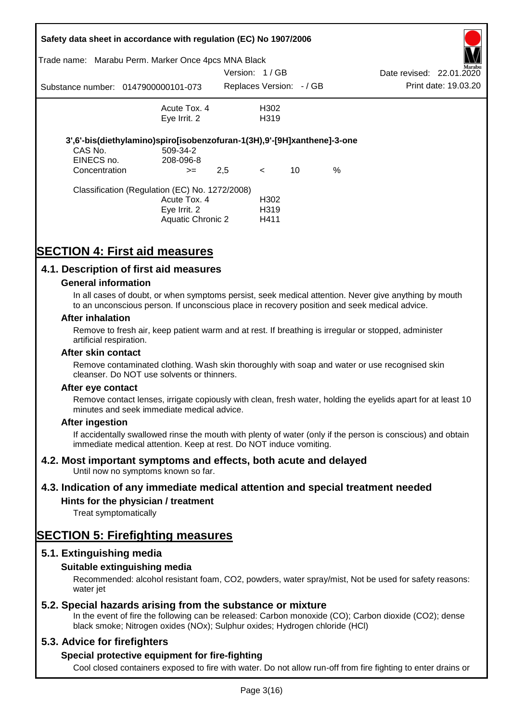|                                        | Safety data sheet in accordance with regulation (EC) No 1907/2006                                          |               |                                   |    |      |                          |                      |
|----------------------------------------|------------------------------------------------------------------------------------------------------------|---------------|-----------------------------------|----|------|--------------------------|----------------------|
|                                        | Trade name: Marabu Perm. Marker Once 4pcs MNA Black                                                        |               |                                   |    |      |                          | Aarabu               |
|                                        |                                                                                                            | Version: 1/GB |                                   |    |      | Date revised: 22.01.2020 |                      |
|                                        | Substance number: 0147900000101-073                                                                        |               | Replaces Version: - / GB          |    |      |                          | Print date: 19.03.20 |
|                                        | Acute Tox, 4                                                                                               |               | H302                              |    |      |                          |                      |
|                                        | Eye Irrit. 2                                                                                               |               | H319                              |    |      |                          |                      |
| CAS No.<br>EINECS no.<br>Concentration | 3',6'-bis(diethylamino)spiro[isobenzofuran-1(3H),9'-[9H]xanthene]-3-one<br>509-34-2<br>208-096-8<br>$>=$   | 2,5           | $\lt$                             | 10 | $\%$ |                          |                      |
|                                        | Classification (Regulation (EC) No. 1272/2008)<br>Acute Tox. 4<br>Eye Irrit. 2<br><b>Aquatic Chronic 2</b> |               | H302<br>H <sub>3</sub> 19<br>H411 |    |      |                          |                      |

# **SECTION 4: First aid measures**

# **4.1. Description of first aid measures**

#### **General information**

In all cases of doubt, or when symptoms persist, seek medical attention. Never give anything by mouth to an unconscious person. If unconscious place in recovery position and seek medical advice.

#### **After inhalation**

Remove to fresh air, keep patient warm and at rest. If breathing is irregular or stopped, administer artificial respiration.

#### **After skin contact**

Remove contaminated clothing. Wash skin thoroughly with soap and water or use recognised skin cleanser. Do NOT use solvents or thinners.

#### **After eye contact**

Remove contact lenses, irrigate copiously with clean, fresh water, holding the eyelids apart for at least 10 minutes and seek immediate medical advice.

#### **After ingestion**

If accidentally swallowed rinse the mouth with plenty of water (only if the person is conscious) and obtain immediate medical attention. Keep at rest. Do NOT induce vomiting.

# **4.2. Most important symptoms and effects, both acute and delayed**

Until now no symptoms known so far.

# **4.3. Indication of any immediate medical attention and special treatment needed**

# **Hints for the physician / treatment**

Treat symptomatically

# **SECTION 5: Firefighting measures**

# **5.1. Extinguishing media**

# **Suitable extinguishing media**

Recommended: alcohol resistant foam, CO2, powders, water spray/mist, Not be used for safety reasons: water *iet* 

# **5.2. Special hazards arising from the substance or mixture**

In the event of fire the following can be released: Carbon monoxide (CO); Carbon dioxide (CO2); dense black smoke; Nitrogen oxides (NOx); Sulphur oxides; Hydrogen chloride (HCl)

# **5.3. Advice for firefighters**

# **Special protective equipment for fire-fighting**

Cool closed containers exposed to fire with water. Do not allow run-off from fire fighting to enter drains or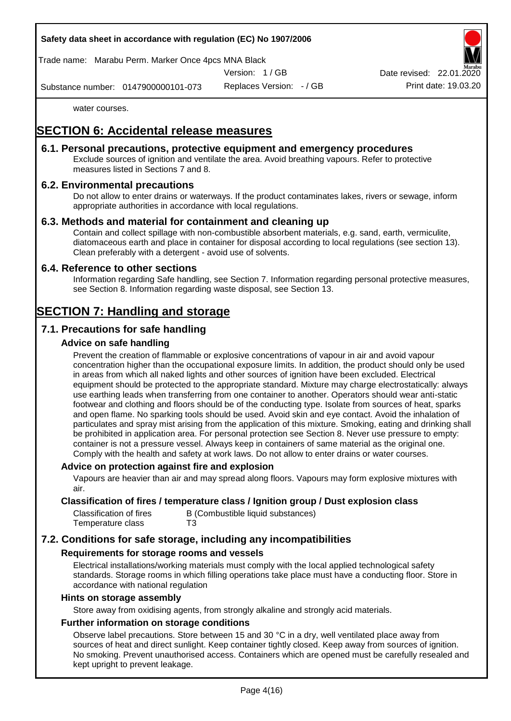Trade name: Marabu Perm. Marker Once 4pcs MNA Black

Version: 1 / GB

Replaces Version: - / GB Print date: 19.03.20 Date revised: 22.01.

Substance number: 0147900000101-073

water courses.

# **SECTION 6: Accidental release measures**

# **6.1. Personal precautions, protective equipment and emergency procedures**

Exclude sources of ignition and ventilate the area. Avoid breathing vapours. Refer to protective measures listed in Sections 7 and 8.

# **6.2. Environmental precautions**

Do not allow to enter drains or waterways. If the product contaminates lakes, rivers or sewage, inform appropriate authorities in accordance with local regulations.

#### **6.3. Methods and material for containment and cleaning up**

Contain and collect spillage with non-combustible absorbent materials, e.g. sand, earth, vermiculite, diatomaceous earth and place in container for disposal according to local regulations (see section 13). Clean preferably with a detergent - avoid use of solvents.

#### **6.4. Reference to other sections**

Information regarding Safe handling, see Section 7. Information regarding personal protective measures, see Section 8. Information regarding waste disposal, see Section 13.

# **SECTION 7: Handling and storage**

# **7.1. Precautions for safe handling**

#### **Advice on safe handling**

Prevent the creation of flammable or explosive concentrations of vapour in air and avoid vapour concentration higher than the occupational exposure limits. In addition, the product should only be used in areas from which all naked lights and other sources of ignition have been excluded. Electrical equipment should be protected to the appropriate standard. Mixture may charge electrostatically: always use earthing leads when transferring from one container to another. Operators should wear anti-static footwear and clothing and floors should be of the conducting type. Isolate from sources of heat, sparks and open flame. No sparking tools should be used. Avoid skin and eye contact. Avoid the inhalation of particulates and spray mist arising from the application of this mixture. Smoking, eating and drinking shall be prohibited in application area. For personal protection see Section 8. Never use pressure to empty: container is not a pressure vessel. Always keep in containers of same material as the original one. Comply with the health and safety at work laws. Do not allow to enter drains or water courses.

#### **Advice on protection against fire and explosion**

Vapours are heavier than air and may spread along floors. Vapours may form explosive mixtures with air.

#### **Classification of fires / temperature class / Ignition group / Dust explosion class**

| Classification of fires | B (Combustible liquid substances) |
|-------------------------|-----------------------------------|
| Temperature class       | T3                                |

# **7.2. Conditions for safe storage, including any incompatibilities**

#### **Requirements for storage rooms and vessels**

Electrical installations/working materials must comply with the local applied technological safety standards. Storage rooms in which filling operations take place must have a conducting floor. Store in accordance with national regulation

#### **Hints on storage assembly**

Store away from oxidising agents, from strongly alkaline and strongly acid materials.

### **Further information on storage conditions**

Observe label precautions. Store between 15 and 30 °C in a dry, well ventilated place away from sources of heat and direct sunlight. Keep container tightly closed. Keep away from sources of ignition. No smoking. Prevent unauthorised access. Containers which are opened must be carefully resealed and kept upright to prevent leakage.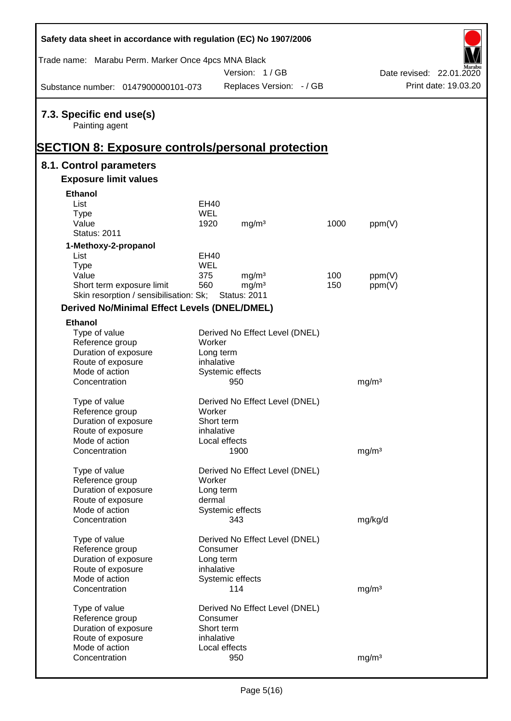| Safety data sheet in accordance with regulation (EC) No 1907/2006 |            |                                |      |                   |                          |
|-------------------------------------------------------------------|------------|--------------------------------|------|-------------------|--------------------------|
| Trade name: Marabu Perm. Marker Once 4pcs MNA Black               |            |                                |      |                   |                          |
|                                                                   |            | Version: 1/GB                  |      |                   | Date revised: 22.01.2020 |
| Substance number: 0147900000101-073                               |            | Replaces Version: - / GB       |      |                   | Print date: 19.03.20     |
| 7.3. Specific end use(s)<br>Painting agent                        |            |                                |      |                   |                          |
| <u>SECTION 8: Exposure controls/personal protection</u>           |            |                                |      |                   |                          |
| 8.1. Control parameters                                           |            |                                |      |                   |                          |
| <b>Exposure limit values</b>                                      |            |                                |      |                   |                          |
| <b>Ethanol</b>                                                    |            |                                |      |                   |                          |
| List                                                              | EH40       |                                |      |                   |                          |
| <b>Type</b>                                                       | <b>WEL</b> |                                |      |                   |                          |
| Value                                                             | 1920       | mg/m <sup>3</sup>              | 1000 | ppm(V)            |                          |
| <b>Status: 2011</b>                                               |            |                                |      |                   |                          |
| 1-Methoxy-2-propanol                                              |            |                                |      |                   |                          |
| List                                                              | EH40       |                                |      |                   |                          |
| <b>Type</b>                                                       | <b>WEL</b> |                                |      |                   |                          |
| Value                                                             | 375        | mg/m <sup>3</sup>              | 100  | ppm(V)            |                          |
| Short term exposure limit                                         | 560        | mg/m <sup>3</sup>              | 150  | ppm(V)            |                          |
| Skin resorption / sensibilisation: Sk;                            |            | <b>Status: 2011</b>            |      |                   |                          |
| <b>Derived No/Minimal Effect Levels (DNEL/DMEL)</b>               |            |                                |      |                   |                          |
| <b>Ethanol</b>                                                    |            |                                |      |                   |                          |
| Type of value                                                     |            | Derived No Effect Level (DNEL) |      |                   |                          |
| Reference group                                                   | Worker     |                                |      |                   |                          |
| Duration of exposure                                              | Long term  |                                |      |                   |                          |
| Route of exposure                                                 | inhalative |                                |      |                   |                          |
| Mode of action                                                    |            | Systemic effects               |      |                   |                          |
| Concentration                                                     |            | 950                            |      | mg/m <sup>3</sup> |                          |
| Type of value                                                     |            | Derived No Effect Level (DNEL) |      |                   |                          |
| Reference group                                                   | Worker     |                                |      |                   |                          |
| Duration of exposure                                              | Short term |                                |      |                   |                          |
| Route of exposure                                                 | inhalative |                                |      |                   |                          |
| Mode of action                                                    |            | Local effects                  |      |                   |                          |
| Concentration                                                     |            | 1900                           |      | mg/m <sup>3</sup> |                          |
|                                                                   |            |                                |      |                   |                          |
| Type of value                                                     |            | Derived No Effect Level (DNEL) |      |                   |                          |
| Reference group                                                   | Worker     |                                |      |                   |                          |
| Duration of exposure                                              | Long term  |                                |      |                   |                          |
| Route of exposure                                                 | dermal     |                                |      |                   |                          |
| Mode of action                                                    |            | Systemic effects               |      |                   |                          |
| Concentration                                                     |            | 343                            |      | mg/kg/d           |                          |
| Type of value                                                     |            | Derived No Effect Level (DNEL) |      |                   |                          |
| Reference group                                                   | Consumer   |                                |      |                   |                          |
| Duration of exposure                                              | Long term  |                                |      |                   |                          |
| Route of exposure                                                 | inhalative |                                |      |                   |                          |
| Mode of action                                                    |            | Systemic effects               |      |                   |                          |
| Concentration                                                     |            | 114                            |      | mg/m <sup>3</sup> |                          |
|                                                                   |            |                                |      |                   |                          |
| Type of value                                                     |            | Derived No Effect Level (DNEL) |      |                   |                          |
| Reference group                                                   | Consumer   |                                |      |                   |                          |
| Duration of exposure                                              | Short term |                                |      |                   |                          |
| Route of exposure                                                 | inhalative |                                |      |                   |                          |
| Mode of action                                                    |            | Local effects                  |      |                   |                          |
| Concentration                                                     |            | 950                            |      | mg/m <sup>3</sup> |                          |

Г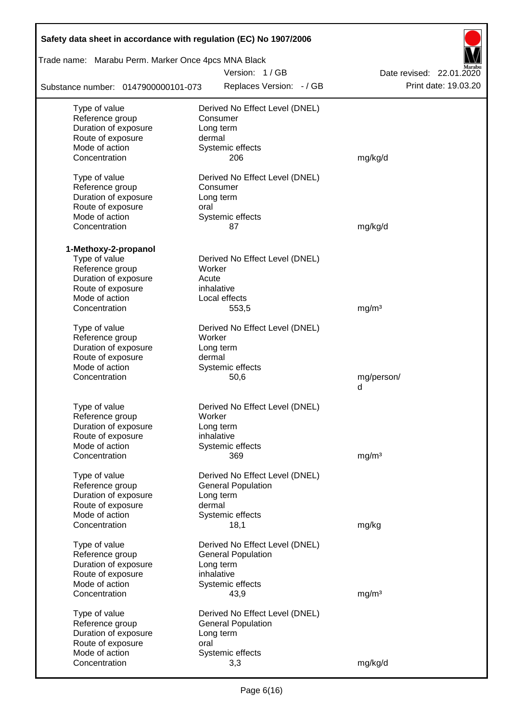| Safety data sheet in accordance with regulation (EC) No 1907/2006 |                                |                          |  |  |  |  |  |  |  |
|-------------------------------------------------------------------|--------------------------------|--------------------------|--|--|--|--|--|--|--|
| Trade name: Marabu Perm. Marker Once 4pcs MNA Black               |                                |                          |  |  |  |  |  |  |  |
|                                                                   | Version: 1/GB                  | Date revised: 22.01.2020 |  |  |  |  |  |  |  |
| Substance number: 0147900000101-073                               | Replaces Version: - / GB       | Print date: 19.03.20     |  |  |  |  |  |  |  |
| Type of value                                                     | Derived No Effect Level (DNEL) |                          |  |  |  |  |  |  |  |
| Reference group                                                   | Consumer                       |                          |  |  |  |  |  |  |  |
| Duration of exposure                                              | Long term                      |                          |  |  |  |  |  |  |  |
| Route of exposure                                                 | dermal                         |                          |  |  |  |  |  |  |  |
| Mode of action<br>Concentration                                   | Systemic effects<br>206        | mg/kg/d                  |  |  |  |  |  |  |  |
|                                                                   |                                |                          |  |  |  |  |  |  |  |
| Type of value                                                     | Derived No Effect Level (DNEL) |                          |  |  |  |  |  |  |  |
| Reference group                                                   | Consumer                       |                          |  |  |  |  |  |  |  |
| Duration of exposure                                              | Long term                      |                          |  |  |  |  |  |  |  |
| Route of exposure                                                 | oral                           |                          |  |  |  |  |  |  |  |
| Mode of action                                                    | Systemic effects               |                          |  |  |  |  |  |  |  |
| Concentration                                                     | 87                             | mg/kg/d                  |  |  |  |  |  |  |  |
| 1-Methoxy-2-propanol                                              |                                |                          |  |  |  |  |  |  |  |
| Type of value                                                     | Derived No Effect Level (DNEL) |                          |  |  |  |  |  |  |  |
| Reference group                                                   | Worker                         |                          |  |  |  |  |  |  |  |
| Duration of exposure                                              | Acute                          |                          |  |  |  |  |  |  |  |
| Route of exposure                                                 | inhalative                     |                          |  |  |  |  |  |  |  |
| Mode of action                                                    | Local effects                  |                          |  |  |  |  |  |  |  |
| Concentration                                                     | 553,5                          | mg/m <sup>3</sup>        |  |  |  |  |  |  |  |
| Type of value                                                     | Derived No Effect Level (DNEL) |                          |  |  |  |  |  |  |  |
| Reference group                                                   | Worker                         |                          |  |  |  |  |  |  |  |
| Duration of exposure                                              | Long term                      |                          |  |  |  |  |  |  |  |
| Route of exposure                                                 | dermal                         |                          |  |  |  |  |  |  |  |
| Mode of action                                                    | Systemic effects               |                          |  |  |  |  |  |  |  |
| Concentration                                                     | 50,6                           | mg/person/               |  |  |  |  |  |  |  |
|                                                                   |                                | d                        |  |  |  |  |  |  |  |
| Type of value                                                     | Derived No Effect Level (DNEL) |                          |  |  |  |  |  |  |  |
| Reference group                                                   | Worker                         |                          |  |  |  |  |  |  |  |
| Duration of exposure                                              | Long term                      |                          |  |  |  |  |  |  |  |
| Route of exposure                                                 | inhalative                     |                          |  |  |  |  |  |  |  |
| Mode of action                                                    | Systemic effects               |                          |  |  |  |  |  |  |  |
| Concentration                                                     | 369                            | mg/m <sup>3</sup>        |  |  |  |  |  |  |  |
|                                                                   |                                |                          |  |  |  |  |  |  |  |
| Type of value                                                     | Derived No Effect Level (DNEL) |                          |  |  |  |  |  |  |  |
| Reference group                                                   | <b>General Population</b>      |                          |  |  |  |  |  |  |  |
| Duration of exposure                                              | Long term                      |                          |  |  |  |  |  |  |  |
| Route of exposure<br>Mode of action                               | dermal<br>Systemic effects     |                          |  |  |  |  |  |  |  |
| Concentration                                                     | 18,1                           | mg/kg                    |  |  |  |  |  |  |  |
|                                                                   |                                |                          |  |  |  |  |  |  |  |
| Type of value                                                     | Derived No Effect Level (DNEL) |                          |  |  |  |  |  |  |  |
| Reference group                                                   | <b>General Population</b>      |                          |  |  |  |  |  |  |  |
| Duration of exposure                                              | Long term                      |                          |  |  |  |  |  |  |  |
| Route of exposure                                                 | inhalative                     |                          |  |  |  |  |  |  |  |
| Mode of action                                                    | Systemic effects               |                          |  |  |  |  |  |  |  |
| Concentration                                                     | 43,9                           | mg/m <sup>3</sup>        |  |  |  |  |  |  |  |
| Type of value                                                     | Derived No Effect Level (DNEL) |                          |  |  |  |  |  |  |  |
| Reference group                                                   | <b>General Population</b>      |                          |  |  |  |  |  |  |  |
| Duration of exposure                                              | Long term                      |                          |  |  |  |  |  |  |  |
| Route of exposure                                                 | oral                           |                          |  |  |  |  |  |  |  |
| Mode of action                                                    | Systemic effects               |                          |  |  |  |  |  |  |  |
| Concentration                                                     | 3,3                            | mg/kg/d                  |  |  |  |  |  |  |  |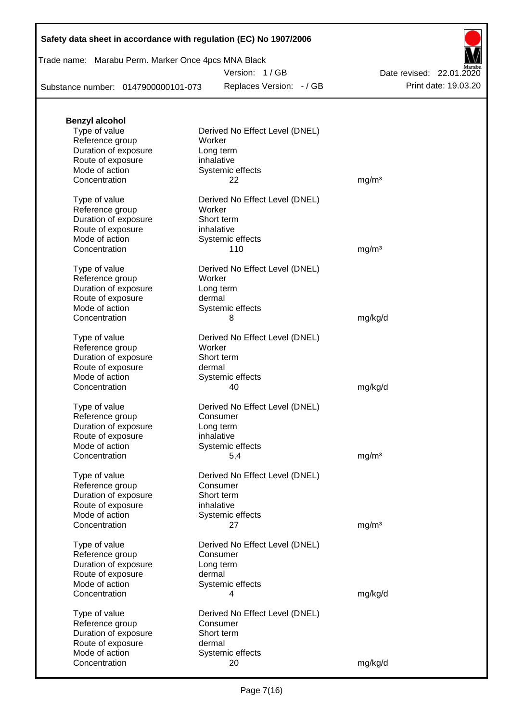Trade name: Marabu Perm. Marker Once 4pcs MNA Black

Version: 1 / GB

Replaces Version: - / GB Print date: 19.03.20 Date revised: 22.01.2020

Substance number: 0147900000101-073

| <b>Benzyl alcohol</b>                   |                                |                   |
|-----------------------------------------|--------------------------------|-------------------|
| Type of value                           | Derived No Effect Level (DNEL) |                   |
| Reference group                         | Worker                         |                   |
| Duration of exposure                    | Long term                      |                   |
| Route of exposure<br>Mode of action     | inhalative                     |                   |
| Concentration                           | Systemic effects<br>22         | mg/m <sup>3</sup> |
|                                         |                                |                   |
| Type of value                           | Derived No Effect Level (DNEL) |                   |
| Reference group                         | Worker                         |                   |
| Duration of exposure                    | Short term                     |                   |
| Route of exposure                       | inhalative                     |                   |
| Mode of action                          | Systemic effects               |                   |
| Concentration                           | 110                            | mg/m <sup>3</sup> |
| Type of value                           | Derived No Effect Level (DNEL) |                   |
| Reference group                         | Worker                         |                   |
| Duration of exposure                    | Long term                      |                   |
| Route of exposure                       | dermal                         |                   |
| Mode of action                          | Systemic effects               |                   |
| Concentration                           | 8                              | mg/kg/d           |
|                                         |                                |                   |
| Type of value                           | Derived No Effect Level (DNEL) |                   |
| Reference group<br>Duration of exposure | Worker<br>Short term           |                   |
| Route of exposure                       | dermal                         |                   |
| Mode of action                          | Systemic effects               |                   |
| Concentration                           | 40                             | mg/kg/d           |
|                                         |                                |                   |
| Type of value                           | Derived No Effect Level (DNEL) |                   |
| Reference group                         | Consumer                       |                   |
| Duration of exposure                    | Long term                      |                   |
| Route of exposure                       | inhalative                     |                   |
| Mode of action<br>Concentration         | Systemic effects               |                   |
|                                         | 5,4                            | mg/m <sup>3</sup> |
| Type of value                           | Derived No Effect Level (DNEL) |                   |
| Reference group                         | Consumer                       |                   |
| Duration of exposure                    | Short term                     |                   |
| Route of exposure                       | inhalative                     |                   |
| Mode of action                          | Systemic effects               |                   |
| Concentration                           | 27                             | mg/m <sup>3</sup> |
| Type of value                           | Derived No Effect Level (DNEL) |                   |
| Reference group                         | Consumer                       |                   |
| Duration of exposure                    | Long term                      |                   |
| Route of exposure                       | dermal                         |                   |
| Mode of action                          | Systemic effects               |                   |
| Concentration                           | 4                              | mg/kg/d           |
|                                         |                                |                   |
| Type of value                           | Derived No Effect Level (DNEL) |                   |
| Reference group<br>Duration of exposure | Consumer<br>Short term         |                   |
| Route of exposure                       | dermal                         |                   |
| Mode of action                          | Systemic effects               |                   |
| Concentration                           | 20                             | mg/kg/d           |
|                                         |                                |                   |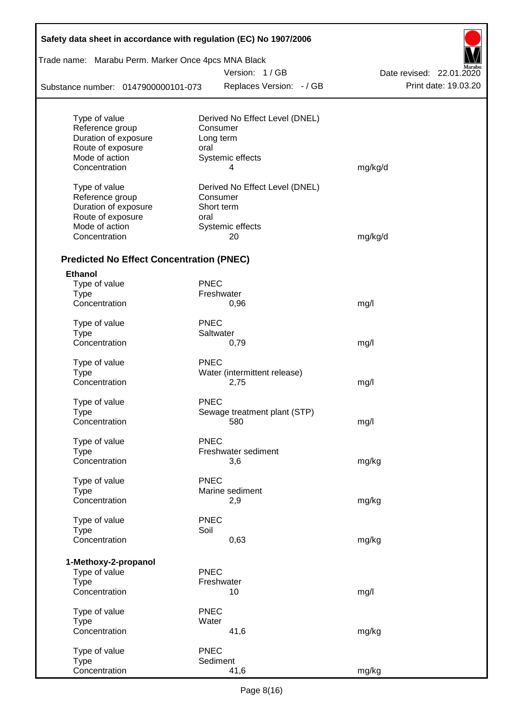| Safety data sheet in accordance with regulation (EC) No 1907/2006 |             |                                |                          |  |  |  |  |
|-------------------------------------------------------------------|-------------|--------------------------------|--------------------------|--|--|--|--|
| Trade name: Marabu Perm. Marker Once 4pcs MNA Black               |             |                                |                          |  |  |  |  |
|                                                                   |             | Version: 1 / GB                | Date revised: 22.01.2020 |  |  |  |  |
| Substance number: 0147900000101-073                               |             | Replaces Version: - / GB       | Print date: 19.03.20     |  |  |  |  |
| Type of value                                                     |             | Derived No Effect Level (DNEL) |                          |  |  |  |  |
| Reference group                                                   |             | Consumer                       |                          |  |  |  |  |
| Duration of exposure                                              |             | Long term                      |                          |  |  |  |  |
| Route of exposure                                                 | oral        |                                |                          |  |  |  |  |
| Mode of action                                                    |             | Systemic effects               |                          |  |  |  |  |
| Concentration                                                     |             | 4                              | mg/kg/d                  |  |  |  |  |
| Type of value                                                     |             | Derived No Effect Level (DNEL) |                          |  |  |  |  |
| Reference group                                                   |             | Consumer                       |                          |  |  |  |  |
| Duration of exposure                                              |             | Short term                     |                          |  |  |  |  |
| Route of exposure                                                 | oral        |                                |                          |  |  |  |  |
| Mode of action                                                    |             | Systemic effects               |                          |  |  |  |  |
| Concentration                                                     |             | 20                             | mg/kg/d                  |  |  |  |  |
| <b>Predicted No Effect Concentration (PNEC)</b>                   |             |                                |                          |  |  |  |  |
| <b>Ethanol</b>                                                    |             |                                |                          |  |  |  |  |
| Type of value                                                     | <b>PNEC</b> |                                |                          |  |  |  |  |
| <b>Type</b>                                                       |             | Freshwater                     |                          |  |  |  |  |
| Concentration                                                     |             | 0,96                           | mg/l                     |  |  |  |  |
| Type of value                                                     | <b>PNEC</b> |                                |                          |  |  |  |  |
| <b>Type</b>                                                       |             | Saltwater                      |                          |  |  |  |  |
| Concentration                                                     |             | 0,79                           | mg/l                     |  |  |  |  |
| Type of value                                                     | <b>PNEC</b> |                                |                          |  |  |  |  |
| <b>Type</b>                                                       |             | Water (intermittent release)   |                          |  |  |  |  |
| Concentration                                                     |             | 2,75                           | mg/l                     |  |  |  |  |
| Type of value                                                     | <b>PNEC</b> |                                |                          |  |  |  |  |
| Type                                                              |             | Sewage treatment plant (STP)   |                          |  |  |  |  |
| Concentration                                                     |             | 580                            | mg/l                     |  |  |  |  |
| Type of value                                                     | <b>PNEC</b> |                                |                          |  |  |  |  |
| <b>Type</b>                                                       |             | Freshwater sediment            |                          |  |  |  |  |
| Concentration                                                     |             | 3,6                            | mg/kg                    |  |  |  |  |
| Type of value                                                     | <b>PNEC</b> |                                |                          |  |  |  |  |
| <b>Type</b>                                                       |             | Marine sediment                |                          |  |  |  |  |
| Concentration                                                     |             | 2,9                            | mg/kg                    |  |  |  |  |
| Type of value                                                     | <b>PNEC</b> |                                |                          |  |  |  |  |
| <b>Type</b>                                                       | Soil        |                                |                          |  |  |  |  |
| Concentration                                                     |             | 0,63                           | mg/kg                    |  |  |  |  |
| 1-Methoxy-2-propanol                                              |             |                                |                          |  |  |  |  |
| Type of value                                                     | <b>PNEC</b> |                                |                          |  |  |  |  |
| <b>Type</b>                                                       |             | Freshwater                     |                          |  |  |  |  |
| Concentration                                                     |             | 10                             | mg/l                     |  |  |  |  |
| Type of value                                                     | <b>PNEC</b> |                                |                          |  |  |  |  |
| <b>Type</b>                                                       | Water       |                                |                          |  |  |  |  |
| Concentration                                                     |             | 41,6                           | mg/kg                    |  |  |  |  |
| Type of value                                                     | <b>PNEC</b> |                                |                          |  |  |  |  |
| <b>Type</b>                                                       |             | Sediment                       |                          |  |  |  |  |
| Concentration                                                     |             | 41,6                           | mg/kg                    |  |  |  |  |

 $\Gamma$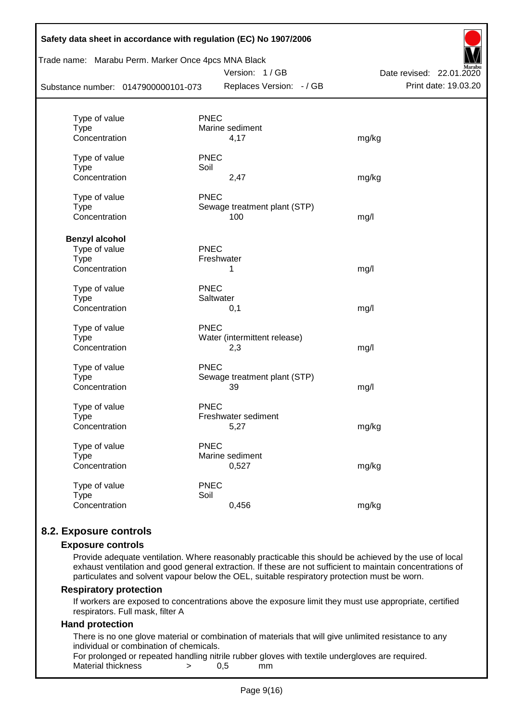| Trade name: Marabu Perm. Marker Once 4pcs MNA Black |             | Version: 1/GB                | Date revised: 22.01.2020 |
|-----------------------------------------------------|-------------|------------------------------|--------------------------|
| Substance number: 0147900000101-073                 |             | Replaces Version: - / GB     | Print date: 19.03.20     |
|                                                     |             |                              |                          |
| Type of value                                       | <b>PNEC</b> |                              |                          |
| <b>Type</b><br>Concentration                        |             | Marine sediment              |                          |
|                                                     |             | 4,17                         | mg/kg                    |
| Type of value                                       | <b>PNEC</b> |                              |                          |
| <b>Type</b>                                         | Soil        |                              |                          |
| Concentration                                       |             | 2,47                         | mg/kg                    |
| Type of value                                       | <b>PNEC</b> |                              |                          |
| <b>Type</b>                                         |             | Sewage treatment plant (STP) |                          |
| Concentration                                       |             | 100                          | mg/l                     |
|                                                     |             |                              |                          |
| <b>Benzyl alcohol</b>                               |             |                              |                          |
| Type of value                                       | <b>PNEC</b> |                              |                          |
| <b>Type</b>                                         |             | Freshwater                   |                          |
| Concentration                                       |             | 1                            | mg/l                     |
| Type of value                                       | <b>PNEC</b> |                              |                          |
| <b>Type</b>                                         |             | Saltwater                    |                          |
| Concentration                                       |             | 0,1                          | mg/l                     |
| Type of value                                       | <b>PNEC</b> |                              |                          |
| <b>Type</b>                                         |             | Water (intermittent release) |                          |
| Concentration                                       |             | 2,3                          | mg/l                     |
|                                                     |             |                              |                          |
| Type of value                                       | <b>PNEC</b> |                              |                          |
| <b>Type</b>                                         |             | Sewage treatment plant (STP) |                          |
| Concentration                                       |             | 39                           | mg/l                     |
| Type of value                                       | <b>PNEC</b> |                              |                          |
| <b>Type</b>                                         |             | Freshwater sediment          |                          |
| Concentration                                       |             | 5,27                         | mg/kg                    |
|                                                     |             |                              |                          |
| Type of value                                       | <b>PNEC</b> | Marine sediment              |                          |
| <b>Type</b><br>Concentration                        |             | 0,527                        | mg/kg                    |
|                                                     |             |                              |                          |
| Type of value                                       | <b>PNEC</b> |                              |                          |
| <b>Type</b>                                         | Soil        |                              |                          |
| Concentration                                       |             | 0,456                        | mg/kg                    |

# **8.2. Exposure controls**

#### **Exposure controls**

Provide adequate ventilation. Where reasonably practicable this should be achieved by the use of local exhaust ventilation and good general extraction. If these are not sufficient to maintain concentrations of particulates and solvent vapour below the OEL, suitable respiratory protection must be worn.

#### **Respiratory protection**

If workers are exposed to concentrations above the exposure limit they must use appropriate, certified respirators. Full mask, filter A

#### **Hand protection**

There is no one glove material or combination of materials that will give unlimited resistance to any individual or combination of chemicals.

For prolonged or repeated handling nitrile rubber gloves with textile undergloves are required. Material thickness  $\rightarrow$  0,5 mm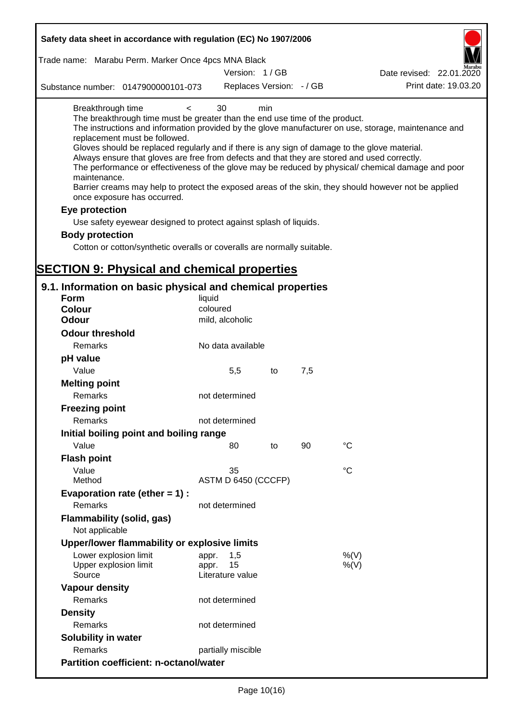| Safety data sheet in accordance with regulation (EC) No 1907/2006                                                                                                                                                                                                                                                                                                                          |                             |     |     |                                                                                                                                                                                                                                                                                                                    |
|--------------------------------------------------------------------------------------------------------------------------------------------------------------------------------------------------------------------------------------------------------------------------------------------------------------------------------------------------------------------------------------------|-----------------------------|-----|-----|--------------------------------------------------------------------------------------------------------------------------------------------------------------------------------------------------------------------------------------------------------------------------------------------------------------------|
| Trade name: Marabu Perm. Marker Once 4pcs MNA Black                                                                                                                                                                                                                                                                                                                                        |                             |     |     |                                                                                                                                                                                                                                                                                                                    |
|                                                                                                                                                                                                                                                                                                                                                                                            | Version: 1/GB               |     |     | Date revised: 22.01.2020                                                                                                                                                                                                                                                                                           |
| Substance number: 0147900000101-073                                                                                                                                                                                                                                                                                                                                                        | Replaces Version: - / GB    |     |     | Print date: 19.03.20                                                                                                                                                                                                                                                                                               |
| Breakthrough time<br>$\lt$<br>The breakthrough time must be greater than the end use time of the product.<br>replacement must be followed.<br>Gloves should be replaced regularly and if there is any sign of damage to the glove material.<br>Always ensure that gloves are free from defects and that they are stored and used correctly.<br>maintenance.<br>once exposure has occurred. | 30                          | min |     | The instructions and information provided by the glove manufacturer on use, storage, maintenance and<br>The performance or effectiveness of the glove may be reduced by physical/ chemical damage and poor<br>Barrier creams may help to protect the exposed areas of the skin, they should however not be applied |
| Eye protection                                                                                                                                                                                                                                                                                                                                                                             |                             |     |     |                                                                                                                                                                                                                                                                                                                    |
| Use safety eyewear designed to protect against splash of liquids.                                                                                                                                                                                                                                                                                                                          |                             |     |     |                                                                                                                                                                                                                                                                                                                    |
| <b>Body protection</b>                                                                                                                                                                                                                                                                                                                                                                     |                             |     |     |                                                                                                                                                                                                                                                                                                                    |
| Cotton or cotton/synthetic overalls or coveralls are normally suitable.                                                                                                                                                                                                                                                                                                                    |                             |     |     |                                                                                                                                                                                                                                                                                                                    |
|                                                                                                                                                                                                                                                                                                                                                                                            |                             |     |     |                                                                                                                                                                                                                                                                                                                    |
| <b>SECTION 9: Physical and chemical properties</b>                                                                                                                                                                                                                                                                                                                                         |                             |     |     |                                                                                                                                                                                                                                                                                                                    |
| 9.1. Information on basic physical and chemical properties                                                                                                                                                                                                                                                                                                                                 |                             |     |     |                                                                                                                                                                                                                                                                                                                    |
| Form                                                                                                                                                                                                                                                                                                                                                                                       | liquid                      |     |     |                                                                                                                                                                                                                                                                                                                    |
| <b>Colour</b>                                                                                                                                                                                                                                                                                                                                                                              | coloured                    |     |     |                                                                                                                                                                                                                                                                                                                    |
| <b>Odour</b>                                                                                                                                                                                                                                                                                                                                                                               | mild, alcoholic             |     |     |                                                                                                                                                                                                                                                                                                                    |
| <b>Odour threshold</b>                                                                                                                                                                                                                                                                                                                                                                     |                             |     |     |                                                                                                                                                                                                                                                                                                                    |
| Remarks                                                                                                                                                                                                                                                                                                                                                                                    | No data available           |     |     |                                                                                                                                                                                                                                                                                                                    |
| pH value                                                                                                                                                                                                                                                                                                                                                                                   |                             |     |     |                                                                                                                                                                                                                                                                                                                    |
| Value                                                                                                                                                                                                                                                                                                                                                                                      | 5,5                         | to  | 7,5 |                                                                                                                                                                                                                                                                                                                    |
| <b>Melting point</b>                                                                                                                                                                                                                                                                                                                                                                       |                             |     |     |                                                                                                                                                                                                                                                                                                                    |
| Remarks                                                                                                                                                                                                                                                                                                                                                                                    | not determined              |     |     |                                                                                                                                                                                                                                                                                                                    |
| <b>Freezing point</b>                                                                                                                                                                                                                                                                                                                                                                      |                             |     |     |                                                                                                                                                                                                                                                                                                                    |
| Remarks                                                                                                                                                                                                                                                                                                                                                                                    | not determined              |     |     |                                                                                                                                                                                                                                                                                                                    |
| Initial boiling point and boiling range                                                                                                                                                                                                                                                                                                                                                    |                             |     |     |                                                                                                                                                                                                                                                                                                                    |
| Value                                                                                                                                                                                                                                                                                                                                                                                      | 80                          | to  | 90  | $^{\circ}C$                                                                                                                                                                                                                                                                                                        |
| <b>Flash point</b>                                                                                                                                                                                                                                                                                                                                                                         |                             |     |     |                                                                                                                                                                                                                                                                                                                    |
| Value                                                                                                                                                                                                                                                                                                                                                                                      | 35                          |     |     | $^{\circ}C$                                                                                                                                                                                                                                                                                                        |
| Method                                                                                                                                                                                                                                                                                                                                                                                     | ASTM D 6450 (CCCFP)         |     |     |                                                                                                                                                                                                                                                                                                                    |
| Evaporation rate (ether $= 1$ ) :                                                                                                                                                                                                                                                                                                                                                          |                             |     |     |                                                                                                                                                                                                                                                                                                                    |
| Remarks                                                                                                                                                                                                                                                                                                                                                                                    | not determined              |     |     |                                                                                                                                                                                                                                                                                                                    |
| Flammability (solid, gas)                                                                                                                                                                                                                                                                                                                                                                  |                             |     |     |                                                                                                                                                                                                                                                                                                                    |
| Not applicable                                                                                                                                                                                                                                                                                                                                                                             |                             |     |     |                                                                                                                                                                                                                                                                                                                    |
| Upper/lower flammability or explosive limits                                                                                                                                                                                                                                                                                                                                               |                             |     |     |                                                                                                                                                                                                                                                                                                                    |
| Lower explosion limit<br>Upper explosion limit                                                                                                                                                                                                                                                                                                                                             | 1,5<br>appr.<br>15<br>appr. |     |     | %(V)<br>$%$ (V)                                                                                                                                                                                                                                                                                                    |
| Source                                                                                                                                                                                                                                                                                                                                                                                     | Literature value            |     |     |                                                                                                                                                                                                                                                                                                                    |
| <b>Vapour density</b><br>Remarks                                                                                                                                                                                                                                                                                                                                                           |                             |     |     |                                                                                                                                                                                                                                                                                                                    |
|                                                                                                                                                                                                                                                                                                                                                                                            | not determined              |     |     |                                                                                                                                                                                                                                                                                                                    |
| <b>Density</b>                                                                                                                                                                                                                                                                                                                                                                             |                             |     |     |                                                                                                                                                                                                                                                                                                                    |
| Remarks                                                                                                                                                                                                                                                                                                                                                                                    | not determined              |     |     |                                                                                                                                                                                                                                                                                                                    |
| <b>Solubility in water</b>                                                                                                                                                                                                                                                                                                                                                                 |                             |     |     |                                                                                                                                                                                                                                                                                                                    |
| Remarks                                                                                                                                                                                                                                                                                                                                                                                    | partially miscible          |     |     |                                                                                                                                                                                                                                                                                                                    |
| <b>Partition coefficient: n-octanol/water</b>                                                                                                                                                                                                                                                                                                                                              |                             |     |     |                                                                                                                                                                                                                                                                                                                    |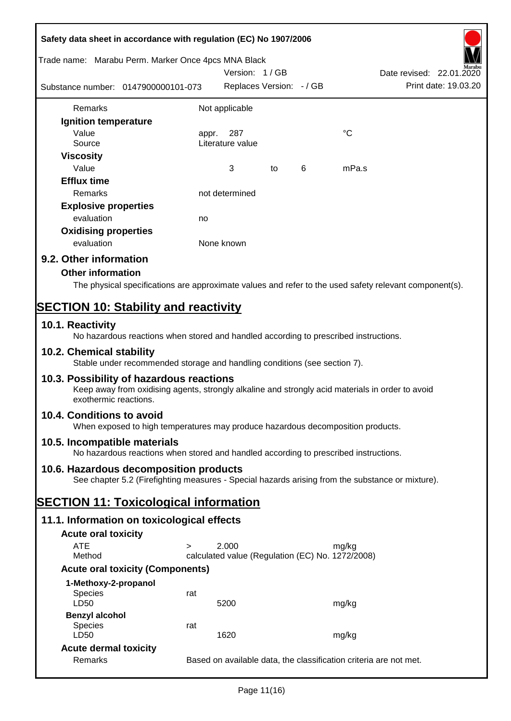| Safety data sheet in accordance with regulation (EC) No 1907/2006                                                                                                     |        |                                                                   |    |   |       |                          |
|-----------------------------------------------------------------------------------------------------------------------------------------------------------------------|--------|-------------------------------------------------------------------|----|---|-------|--------------------------|
| Trade name: Marabu Perm. Marker Once 4pcs MNA Black                                                                                                                   |        |                                                                   |    |   |       |                          |
|                                                                                                                                                                       |        | Version: 1/GB                                                     |    |   |       | Date revised: 22.01.2020 |
| Substance number: 0147900000101-073                                                                                                                                   |        | Replaces Version: - / GB                                          |    |   |       | Print date: 19.03.20     |
| Remarks                                                                                                                                                               |        | Not applicable                                                    |    |   |       |                          |
| Ignition temperature                                                                                                                                                  |        |                                                                   |    |   |       |                          |
| Value                                                                                                                                                                 |        | 287                                                               |    |   | °C    |                          |
| Source                                                                                                                                                                | appr.  | Literature value                                                  |    |   |       |                          |
| <b>Viscosity</b>                                                                                                                                                      |        |                                                                   |    |   |       |                          |
| Value                                                                                                                                                                 |        | 3                                                                 | to | 6 | mPa.s |                          |
| <b>Efflux time</b>                                                                                                                                                    |        |                                                                   |    |   |       |                          |
| Remarks                                                                                                                                                               |        | not determined                                                    |    |   |       |                          |
| <b>Explosive properties</b>                                                                                                                                           |        |                                                                   |    |   |       |                          |
| evaluation                                                                                                                                                            | no     |                                                                   |    |   |       |                          |
| <b>Oxidising properties</b>                                                                                                                                           |        |                                                                   |    |   |       |                          |
| evaluation                                                                                                                                                            |        | None known                                                        |    |   |       |                          |
| 9.2. Other information                                                                                                                                                |        |                                                                   |    |   |       |                          |
| <b>Other information</b>                                                                                                                                              |        |                                                                   |    |   |       |                          |
|                                                                                                                                                                       |        |                                                                   |    |   |       |                          |
| The physical specifications are approximate values and refer to the used safety relevant component(s).                                                                |        |                                                                   |    |   |       |                          |
| <b>SECTION 10: Stability and reactivity</b>                                                                                                                           |        |                                                                   |    |   |       |                          |
| 10.1. Reactivity                                                                                                                                                      |        |                                                                   |    |   |       |                          |
| No hazardous reactions when stored and handled according to prescribed instructions.                                                                                  |        |                                                                   |    |   |       |                          |
| 10.2. Chemical stability<br>Stable under recommended storage and handling conditions (see section 7).                                                                 |        |                                                                   |    |   |       |                          |
| 10.3. Possibility of hazardous reactions<br>Keep away from oxidising agents, strongly alkaline and strongly acid materials in order to avoid<br>exothermic reactions. |        |                                                                   |    |   |       |                          |
| 10.4. Conditions to avoid<br>When exposed to high temperatures may produce hazardous decomposition products.                                                          |        |                                                                   |    |   |       |                          |
| 10.5. Incompatible materials                                                                                                                                          |        |                                                                   |    |   |       |                          |
| No hazardous reactions when stored and handled according to prescribed instructions.                                                                                  |        |                                                                   |    |   |       |                          |
| 10.6. Hazardous decomposition products                                                                                                                                |        |                                                                   |    |   |       |                          |
| See chapter 5.2 (Firefighting measures - Special hazards arising from the substance or mixture).                                                                      |        |                                                                   |    |   |       |                          |
| <b>SECTION 11: Toxicological information</b>                                                                                                                          |        |                                                                   |    |   |       |                          |
| 11.1. Information on toxicological effects                                                                                                                            |        |                                                                   |    |   |       |                          |
| <b>Acute oral toxicity</b>                                                                                                                                            |        |                                                                   |    |   |       |                          |
| <b>ATE</b>                                                                                                                                                            | $\geq$ | 2.000                                                             |    |   | mg/kg |                          |
| Method                                                                                                                                                                |        | calculated value (Regulation (EC) No. 1272/2008)                  |    |   |       |                          |
| <b>Acute oral toxicity (Components)</b>                                                                                                                               |        |                                                                   |    |   |       |                          |
| 1-Methoxy-2-propanol                                                                                                                                                  |        |                                                                   |    |   |       |                          |
| <b>Species</b>                                                                                                                                                        | rat    |                                                                   |    |   |       |                          |
| LD50                                                                                                                                                                  |        | 5200                                                              |    |   | mg/kg |                          |
| <b>Benzyl alcohol</b>                                                                                                                                                 |        |                                                                   |    |   |       |                          |
| <b>Species</b><br>LD50                                                                                                                                                | rat    | 1620                                                              |    |   | mg/kg |                          |
| <b>Acute dermal toxicity</b>                                                                                                                                          |        |                                                                   |    |   |       |                          |
| Remarks                                                                                                                                                               |        | Based on available data, the classification criteria are not met. |    |   |       |                          |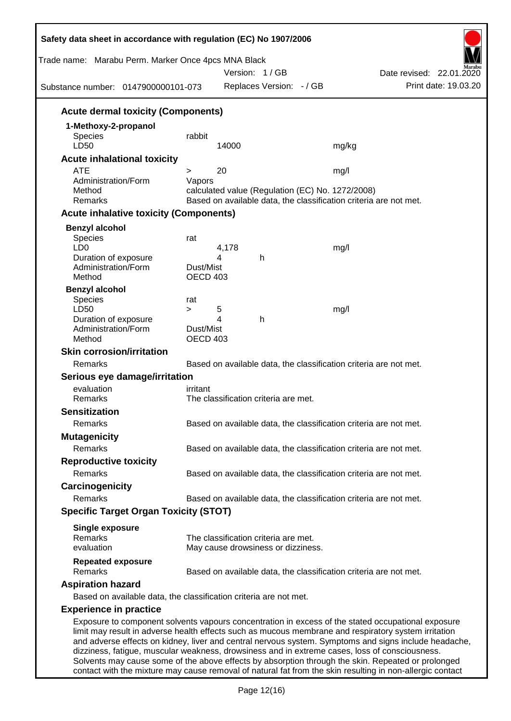| Trade name: Marabu Perm. Marker Once 4pcs MNA Black<br>Substance number: 0147900000101-073 |                              | Version: 1/GB<br>Replaces Version: - / GB        | Date revised: 22.01.2020<br>Print date: 19.03.20                                                                                                                                                                                                                                                                                                                                                                      |
|--------------------------------------------------------------------------------------------|------------------------------|--------------------------------------------------|-----------------------------------------------------------------------------------------------------------------------------------------------------------------------------------------------------------------------------------------------------------------------------------------------------------------------------------------------------------------------------------------------------------------------|
|                                                                                            |                              |                                                  |                                                                                                                                                                                                                                                                                                                                                                                                                       |
| <b>Acute dermal toxicity (Components)</b>                                                  |                              |                                                  |                                                                                                                                                                                                                                                                                                                                                                                                                       |
| 1-Methoxy-2-propanol<br>Species<br>LD50                                                    | rabbit                       | 14000                                            | mg/kg                                                                                                                                                                                                                                                                                                                                                                                                                 |
| <b>Acute inhalational toxicity</b>                                                         |                              |                                                  |                                                                                                                                                                                                                                                                                                                                                                                                                       |
| <b>ATE</b>                                                                                 | >                            | 20                                               | mg/l                                                                                                                                                                                                                                                                                                                                                                                                                  |
| Administration/Form<br>Method<br>Remarks                                                   | Vapors                       | calculated value (Regulation (EC) No. 1272/2008) | Based on available data, the classification criteria are not met.                                                                                                                                                                                                                                                                                                                                                     |
| <b>Acute inhalative toxicity (Components)</b>                                              |                              |                                                  |                                                                                                                                                                                                                                                                                                                                                                                                                       |
| <b>Benzyl alcohol</b>                                                                      |                              |                                                  |                                                                                                                                                                                                                                                                                                                                                                                                                       |
| Species<br>LD <sub>0</sub>                                                                 | rat                          | 4,178                                            | mg/l                                                                                                                                                                                                                                                                                                                                                                                                                  |
| Duration of exposure<br>Administration/Form<br>Method                                      | Dust/Mist<br>OECD 403        | 4<br>h                                           |                                                                                                                                                                                                                                                                                                                                                                                                                       |
| <b>Benzyl alcohol</b>                                                                      |                              |                                                  |                                                                                                                                                                                                                                                                                                                                                                                                                       |
| Species                                                                                    | rat                          |                                                  |                                                                                                                                                                                                                                                                                                                                                                                                                       |
| LD50<br>Duration of exposure                                                               | $\geq$                       | 5<br>4<br>h                                      | mg/l                                                                                                                                                                                                                                                                                                                                                                                                                  |
| Administration/Form<br>Method                                                              | Dust/Mist<br><b>OECD 403</b> |                                                  |                                                                                                                                                                                                                                                                                                                                                                                                                       |
| <b>Skin corrosion/irritation</b>                                                           |                              |                                                  |                                                                                                                                                                                                                                                                                                                                                                                                                       |
| Remarks                                                                                    |                              |                                                  | Based on available data, the classification criteria are not met.                                                                                                                                                                                                                                                                                                                                                     |
| Serious eye damage/irritation                                                              |                              |                                                  |                                                                                                                                                                                                                                                                                                                                                                                                                       |
| evaluation                                                                                 | irritant                     |                                                  |                                                                                                                                                                                                                                                                                                                                                                                                                       |
| Remarks                                                                                    |                              | The classification criteria are met.             |                                                                                                                                                                                                                                                                                                                                                                                                                       |
| <b>Sensitization</b>                                                                       |                              |                                                  |                                                                                                                                                                                                                                                                                                                                                                                                                       |
| Remarks                                                                                    |                              |                                                  | Based on available data, the classification criteria are not met.                                                                                                                                                                                                                                                                                                                                                     |
| <b>Mutagenicity</b>                                                                        |                              |                                                  |                                                                                                                                                                                                                                                                                                                                                                                                                       |
| Remarks                                                                                    |                              |                                                  | Based on available data, the classification criteria are not met.                                                                                                                                                                                                                                                                                                                                                     |
| <b>Reproductive toxicity</b>                                                               |                              |                                                  |                                                                                                                                                                                                                                                                                                                                                                                                                       |
| Remarks                                                                                    |                              |                                                  | Based on available data, the classification criteria are not met.                                                                                                                                                                                                                                                                                                                                                     |
| Carcinogenicity                                                                            |                              |                                                  |                                                                                                                                                                                                                                                                                                                                                                                                                       |
| Remarks                                                                                    |                              |                                                  | Based on available data, the classification criteria are not met.                                                                                                                                                                                                                                                                                                                                                     |
| <b>Specific Target Organ Toxicity (STOT)</b>                                               |                              |                                                  |                                                                                                                                                                                                                                                                                                                                                                                                                       |
| <b>Single exposure</b><br>Remarks                                                          |                              | The classification criteria are met.             |                                                                                                                                                                                                                                                                                                                                                                                                                       |
| evaluation                                                                                 |                              | May cause drowsiness or dizziness.               |                                                                                                                                                                                                                                                                                                                                                                                                                       |
| <b>Repeated exposure</b><br>Remarks                                                        |                              |                                                  | Based on available data, the classification criteria are not met.                                                                                                                                                                                                                                                                                                                                                     |
| <b>Aspiration hazard</b>                                                                   |                              |                                                  |                                                                                                                                                                                                                                                                                                                                                                                                                       |
| Based on available data, the classification criteria are not met.                          |                              |                                                  |                                                                                                                                                                                                                                                                                                                                                                                                                       |
| <b>Experience in practice</b>                                                              |                              |                                                  |                                                                                                                                                                                                                                                                                                                                                                                                                       |
|                                                                                            |                              |                                                  | Exposure to component solvents vapours concentration in excess of the stated occupational exposure<br>limit may result in adverse health effects such as mucous membrane and respiratory system irritation<br>and adverse effects on kidney, liver and central nervous system. Symptoms and signs include headache,<br>dizziness, fatigue, muscular weakness, drowsiness and in extreme cases, loss of consciousness. |

Solvents may cause some of the above effects by absorption through the skin. Repeated or prolonged contact with the mixture may cause removal of natural fat from the skin resulting in non-allergic contact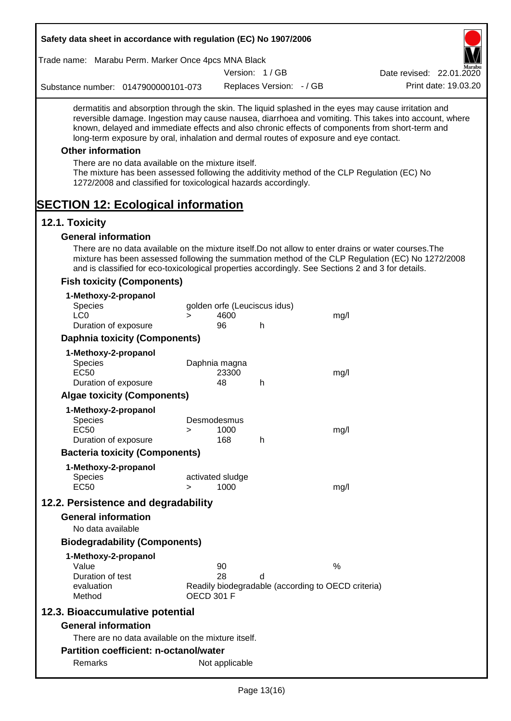| Trade name: Marabu Perm. Marker Once 4pcs MNA Black                                                                                                            |                   |                        |                              |                                                    | I V I<br>Marabu                                                                                                                                                                                                                                                                                                  |
|----------------------------------------------------------------------------------------------------------------------------------------------------------------|-------------------|------------------------|------------------------------|----------------------------------------------------|------------------------------------------------------------------------------------------------------------------------------------------------------------------------------------------------------------------------------------------------------------------------------------------------------------------|
|                                                                                                                                                                |                   |                        | Version: 1/GB                |                                                    | Date revised: 22.01.2020                                                                                                                                                                                                                                                                                         |
| Substance number: 0147900000101-073                                                                                                                            |                   |                        | Replaces Version: - / GB     |                                                    | Print date: 19.03.20                                                                                                                                                                                                                                                                                             |
| long-term exposure by oral, inhalation and dermal routes of exposure and eye contact.                                                                          |                   |                        |                              |                                                    | dermatitis and absorption through the skin. The liquid splashed in the eyes may cause irritation and<br>reversible damage. Ingestion may cause nausea, diarrhoea and vomiting. This takes into account, where<br>known, delayed and immediate effects and also chronic effects of components from short-term and |
| <b>Other information</b>                                                                                                                                       |                   |                        |                              |                                                    |                                                                                                                                                                                                                                                                                                                  |
| There are no data available on the mixture itself.                                                                                                             |                   |                        |                              |                                                    |                                                                                                                                                                                                                                                                                                                  |
| The mixture has been assessed following the additivity method of the CLP Regulation (EC) No<br>1272/2008 and classified for toxicological hazards accordingly. |                   |                        |                              |                                                    |                                                                                                                                                                                                                                                                                                                  |
| <b>SECTION 12: Ecological information</b>                                                                                                                      |                   |                        |                              |                                                    |                                                                                                                                                                                                                                                                                                                  |
| 12.1. Toxicity                                                                                                                                                 |                   |                        |                              |                                                    |                                                                                                                                                                                                                                                                                                                  |
| <b>General information</b>                                                                                                                                     |                   |                        |                              |                                                    |                                                                                                                                                                                                                                                                                                                  |
| and is classified for eco-toxicological properties accordingly. See Sections 2 and 3 for details.                                                              |                   |                        |                              |                                                    | There are no data available on the mixture itself. Do not allow to enter drains or water courses. The<br>mixture has been assessed following the summation method of the CLP Regulation (EC) No 1272/2008                                                                                                        |
| <b>Fish toxicity (Components)</b>                                                                                                                              |                   |                        |                              |                                                    |                                                                                                                                                                                                                                                                                                                  |
| 1-Methoxy-2-propanol                                                                                                                                           |                   |                        |                              |                                                    |                                                                                                                                                                                                                                                                                                                  |
| <b>Species</b>                                                                                                                                                 |                   |                        | golden orfe (Leuciscus idus) |                                                    |                                                                                                                                                                                                                                                                                                                  |
| LC <sub>0</sub>                                                                                                                                                | $\geq$            | 4600                   |                              | mg/l                                               |                                                                                                                                                                                                                                                                                                                  |
| Duration of exposure                                                                                                                                           |                   | 96                     | h                            |                                                    |                                                                                                                                                                                                                                                                                                                  |
| <b>Daphnia toxicity (Components)</b>                                                                                                                           |                   |                        |                              |                                                    |                                                                                                                                                                                                                                                                                                                  |
| 1-Methoxy-2-propanol                                                                                                                                           |                   |                        |                              |                                                    |                                                                                                                                                                                                                                                                                                                  |
| Species<br><b>EC50</b>                                                                                                                                         |                   | Daphnia magna<br>23300 |                              | mg/l                                               |                                                                                                                                                                                                                                                                                                                  |
| Duration of exposure                                                                                                                                           |                   | 48                     | h                            |                                                    |                                                                                                                                                                                                                                                                                                                  |
| <b>Algae toxicity (Components)</b>                                                                                                                             |                   |                        |                              |                                                    |                                                                                                                                                                                                                                                                                                                  |
| 1-Methoxy-2-propanol                                                                                                                                           |                   |                        |                              |                                                    |                                                                                                                                                                                                                                                                                                                  |
| Species                                                                                                                                                        |                   | Desmodesmus            |                              |                                                    |                                                                                                                                                                                                                                                                                                                  |
| <b>EC50</b>                                                                                                                                                    | >                 | 1000                   |                              | mg/l                                               |                                                                                                                                                                                                                                                                                                                  |
| Duration of exposure                                                                                                                                           |                   | 168                    | h                            |                                                    |                                                                                                                                                                                                                                                                                                                  |
| <b>Bacteria toxicity (Components)</b>                                                                                                                          |                   |                        |                              |                                                    |                                                                                                                                                                                                                                                                                                                  |
| 1-Methoxy-2-propanol                                                                                                                                           |                   |                        |                              |                                                    |                                                                                                                                                                                                                                                                                                                  |
| <b>Species</b>                                                                                                                                                 |                   | activated sludge       |                              |                                                    |                                                                                                                                                                                                                                                                                                                  |
| <b>EC50</b>                                                                                                                                                    | $\geq$            | 1000                   |                              | mg/l                                               |                                                                                                                                                                                                                                                                                                                  |
| 12.2. Persistence and degradability                                                                                                                            |                   |                        |                              |                                                    |                                                                                                                                                                                                                                                                                                                  |
| <b>General information</b>                                                                                                                                     |                   |                        |                              |                                                    |                                                                                                                                                                                                                                                                                                                  |
| No data available                                                                                                                                              |                   |                        |                              |                                                    |                                                                                                                                                                                                                                                                                                                  |
| <b>Biodegradability (Components)</b>                                                                                                                           |                   |                        |                              |                                                    |                                                                                                                                                                                                                                                                                                                  |
| 1-Methoxy-2-propanol                                                                                                                                           |                   |                        |                              |                                                    |                                                                                                                                                                                                                                                                                                                  |
| Value                                                                                                                                                          |                   | 90                     |                              | $\%$                                               |                                                                                                                                                                                                                                                                                                                  |
| Duration of test                                                                                                                                               |                   | 28                     | d                            |                                                    |                                                                                                                                                                                                                                                                                                                  |
| evaluation<br>Method                                                                                                                                           | <b>OECD 301 F</b> |                        |                              | Readily biodegradable (according to OECD criteria) |                                                                                                                                                                                                                                                                                                                  |
| 12.3. Bioaccumulative potential                                                                                                                                |                   |                        |                              |                                                    |                                                                                                                                                                                                                                                                                                                  |
| <b>General information</b>                                                                                                                                     |                   |                        |                              |                                                    |                                                                                                                                                                                                                                                                                                                  |
| There are no data available on the mixture itself.                                                                                                             |                   |                        |                              |                                                    |                                                                                                                                                                                                                                                                                                                  |
|                                                                                                                                                                |                   |                        |                              |                                                    |                                                                                                                                                                                                                                                                                                                  |
| <b>Partition coefficient: n-octanol/water</b>                                                                                                                  |                   |                        |                              |                                                    |                                                                                                                                                                                                                                                                                                                  |
| Remarks                                                                                                                                                        |                   | Not applicable         |                              |                                                    |                                                                                                                                                                                                                                                                                                                  |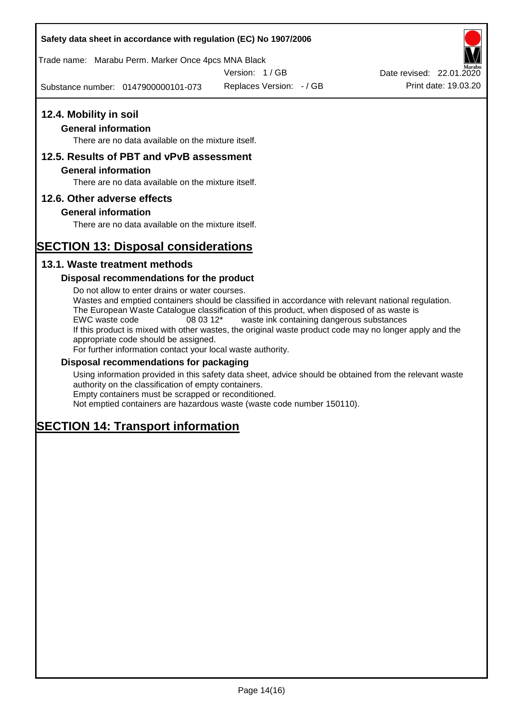Trade name: Marabu Perm. Marker Once 4pcs MNA Black

Version: 1 / GB

Substance number: 0147900000101-073

Replaces Version: - / GB Print date: 19.03.20 Date revised: 22.01.2020

# **12.4. Mobility in soil**

# **General information**

There are no data available on the mixture itself.

# **12.5. Results of PBT and vPvB assessment**

### **General information**

There are no data available on the mixture itself.

# **12.6. Other adverse effects**

# **General information**

There are no data available on the mixture itself.

# **SECTION 13: Disposal considerations**

# **13.1. Waste treatment methods**

# **Disposal recommendations for the product**

Do not allow to enter drains or water courses. Wastes and emptied containers should be classified in accordance with relevant national regulation. The European Waste Catalogue classification of this product, when disposed of as waste is EWC waste code 08 03 12\* waste ink containing dangerous substances If this product is mixed with other wastes, the original waste product code may no longer apply and the appropriate code should be assigned. For further information contact your local waste authority.

### **Disposal recommendations for packaging**

Using information provided in this safety data sheet, advice should be obtained from the relevant waste authority on the classification of empty containers. Empty containers must be scrapped or reconditioned.

Not emptied containers are hazardous waste (waste code number 150110).

# **SECTION 14: Transport information**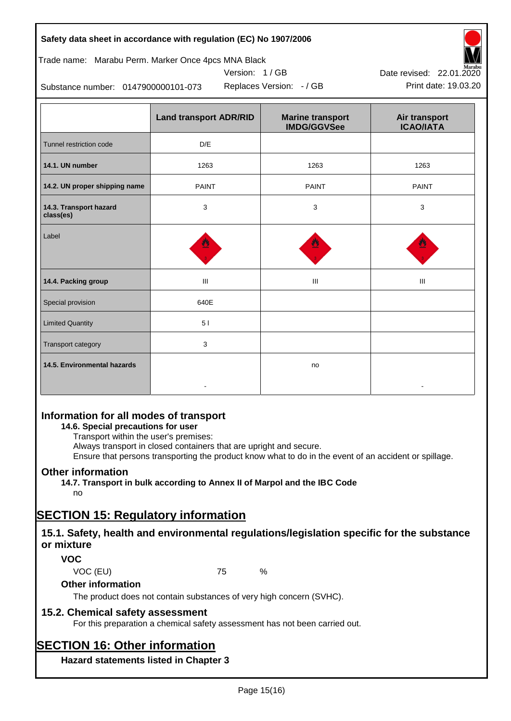| Safety data sheet in accordance with regulation (EC) No 1907/2006 |  |
|-------------------------------------------------------------------|--|
|-------------------------------------------------------------------|--|

# Trade name: Marabu Perm. Marker Once 4pcs MNA Black

Version: 1 / GB



Replaces Version:  $-$  / GB Print date: 19.03.20 Date revised: 22.01.2020

Substance number: 0147900000101-073

|                                     | <b>Land transport ADR/RID</b> | <b>Marine transport</b><br><b>IMDG/GGVSee</b> | Air transport<br><b>ICAO/IATA</b> |
|-------------------------------------|-------------------------------|-----------------------------------------------|-----------------------------------|
| Tunnel restriction code             | D/E                           |                                               |                                   |
| 14.1. UN number                     | 1263                          | 1263                                          | 1263                              |
| 14.2. UN proper shipping name       | <b>PAINT</b>                  | <b>PAINT</b>                                  | <b>PAINT</b>                      |
| 14.3. Transport hazard<br>class(es) | 3                             | 3                                             | 3                                 |
| Label                               |                               |                                               |                                   |
| 14.4. Packing group                 | Ш                             | Ш                                             | Ш                                 |
| Special provision                   | 640E                          |                                               |                                   |
| <b>Limited Quantity</b>             | 51                            |                                               |                                   |
| Transport category                  | 3                             |                                               |                                   |
| 14.5. Environmental hazards         |                               | no                                            |                                   |

# **Information for all modes of transport**

# **14.6. Special precautions for user**

Transport within the user's premises:

Always transport in closed containers that are upright and secure.

Ensure that persons transporting the product know what to do in the event of an accident or spillage.

# **Other information**

**14.7. Transport in bulk according to Annex II of Marpol and the IBC Code**

# no

# **SECTION 15: Regulatory information**

# **15.1. Safety, health and environmental regulations/legislation specific for the substance or mixture**

# **VOC**

VOC (EU) 75 %

# **Other information**

The product does not contain substances of very high concern (SVHC).

# **15.2. Chemical safety assessment**

For this preparation a chemical safety assessment has not been carried out.

# **SECTION 16: Other information**

**Hazard statements listed in Chapter 3**